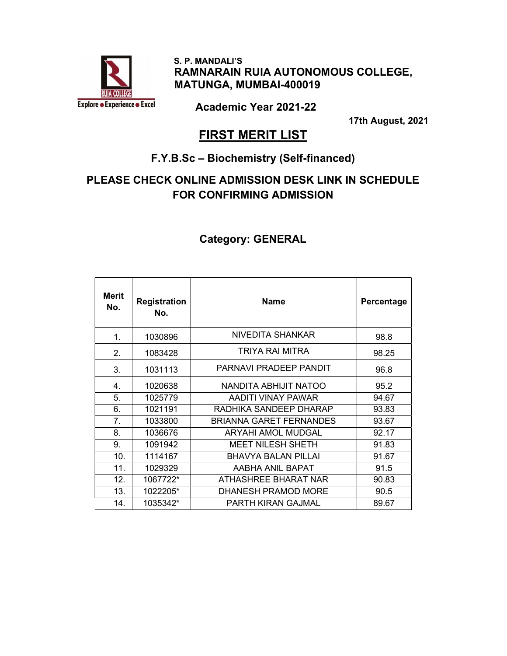

 S. P. MANDALI'S RAMNARAIN RUIA AUTONOMOUS COLLEGE, MATUNGA, MUMBAI-400019

Academic Year 2021-22

17th August, 2021

## **FIRST MERIT LIST**

#### F.Y.B.Sc – Biochemistry (Self-financed)

### PLEASE CHECK ONLINE ADMISSION DESK LINK IN SCHEDULE FOR CONFIRMING ADMISSION

| Merit<br>No. | <b>Registration</b><br>No. | <b>Name</b>                    | Percentage |
|--------------|----------------------------|--------------------------------|------------|
| 1.           | 1030896                    | NIVEDITA SHANKAR               | 98.8       |
| 2.           | 1083428                    | TRIYA RAI MITRA                | 98.25      |
| 3.           | 1031113                    | PARNAVI PRADEEP PANDIT         | 96.8       |
| 4.           | 1020638                    | NANDITA ABHIJIT NATOO          | 95.2       |
| 5.           | 1025779                    | AADITI VINAY PAWAR             | 94.67      |
| 6.           | 1021191                    | RADHIKA SANDEEP DHARAP         | 93.83      |
| 7.           | 1033800                    | <b>BRIANNA GARET FERNANDES</b> | 93.67      |
| 8.           | 1036676                    | <b>ARYAHI AMOL MUDGAL</b>      | 92.17      |
| 9.           | 1091942                    | <b>MEET NILESH SHETH</b>       | 91.83      |
| 10.          | 1114167                    | <b>BHAVYA BALAN PILLAI</b>     | 91.67      |
| 11.          | 1029329                    | AABHA ANIL BAPAT               | 91.5       |
| 12.          | 1067722*                   | ATHASHREE BHARAT NAR           | 90.83      |
| 13.          | 1022205*                   | DHANESH PRAMOD MORE            | 90.5       |
| 14.          | 1035342*                   | PARTH KIRAN GAJMAL             | 89.67      |

#### Category: GENERAL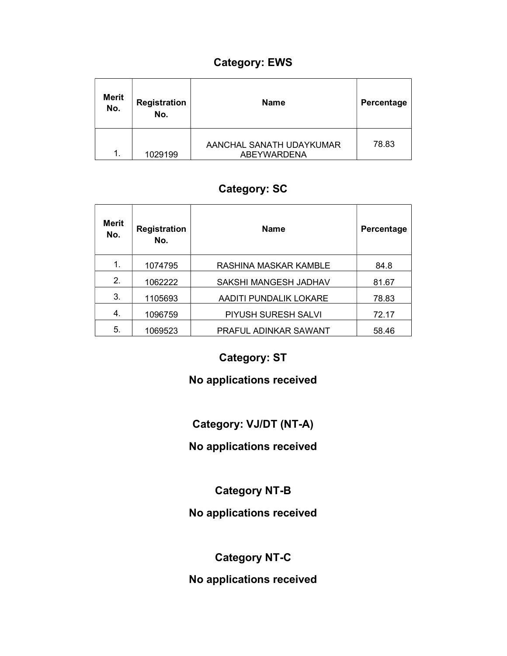## Category: EWS

| <b>Merit</b><br>No. | Registration<br>No. | <b>Name</b>                                    | Percentage |
|---------------------|---------------------|------------------------------------------------|------------|
| 1.                  | 1029199             | AANCHAL SANATH UDAYKUMAR<br><b>ABEYWARDENA</b> | 78.83      |

## Category: SC

| <b>Merit</b><br>No. | <b>Registration</b><br>No. | <b>Name</b>                | Percentage |
|---------------------|----------------------------|----------------------------|------------|
| 1.                  | 1074795                    | RASHINA MASKAR KAMBLE      | 84.8       |
| 2.                  | 1062222                    | SAKSHI MANGESH JADHAV      | 81.67      |
| 3.                  | 1105693                    | AADITI PUNDALIK LOKARE     | 78.83      |
| 4.                  | 1096759                    | <b>PIYUSH SURESH SALVI</b> | 72.17      |
| 5.                  | 1069523                    | PRAFUL ADINKAR SAWANT      | 58.46      |

## Category: ST

#### No applications received

## Category: VJ/DT (NT-A)

#### No applications received

#### Category NT-B

## No applications received

## Category NT-C

#### No applications received